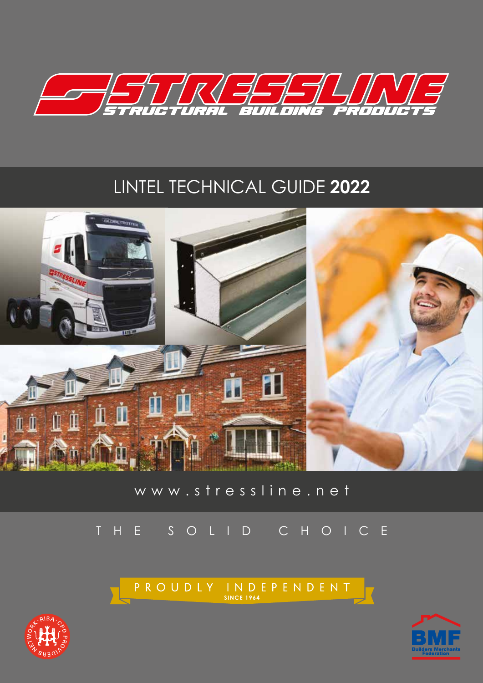

# LINTEL TECHNICAL GUIDE **2022**



## www.stressline.net

## THE SOLID CHOICE

P R O U D L Y I N D E P E N D E N T



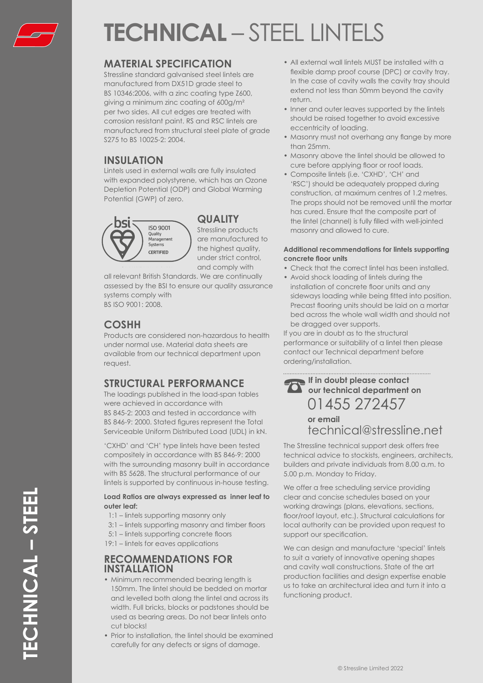

# **TECHNICAL** – STEEL LINTELS

### **MATERIAL SPECIFICATION**

Stressline standard galvanised steel lintels are manufactured from DX51D grade steel to BS 10346:2006, with a zinc coating type Z600, giving a minimum zinc coating of 600g/m² per two sides. All cut edges are treated with corrosion resistant paint. RS and RSC lintels are manufactured from structural steel plate of grade S275 to BS 10025-2: 2004.

### **INSULATION**

Lintels used in external walls are fully insulated with expanded polystyrene, which has an Ozone Depletion Potential (ODP) and Global Warming Potential (GWP) of zero.



### **QUALITY**

Stressline products are manufactured to the highest quality, under strict control, and comply with

all relevant British Standards. We are continually assessed by the BSI to ensure our quality assurance systems comply with

BS ISO 9001: 2008.

### **COSHH**

Products are considered non-hazardous to health under normal use. Material data sheets are available from our technical department upon request.

## **STRUCTURAL PERFORMANCE**

The loadings published in the load-span tables were achieved in accordance with BS 845-2: 2003 and tested in accordance with BS 846-9: 2000. Stated figures represent the Total Serviceable Uniform Distributed Load (UDL) in kN.

'CXHD' and 'CH' type lintels have been tested compositely in accordance with BS 846-9: 2000 with the surrounding masonry built in accordance with BS 5628. The structural performance of our lintels is supported by continuous in-house testing.

#### **Load Ratios are always expressed as inner leaf to outer leaf:**

- 1:1 lintels supporting masonry only
- 3:1 lintels supporting masonry and timber floors
- 5:1 lintels supporting concrete floors
- 19:1 lintels for eaves applications

### **RECOMMENDATIONS FOR INSTALLATION**

- Minimum recommended bearing length is 150mm. The lintel should be bedded on mortar and levelled both along the lintel and across its width. Full bricks, blocks or padstones should be used as bearing areas. Do not bear lintels onto cut blocks!
- Prior to installation, the lintel should be examined carefully for any defects or signs of damage.
- All external wall lintels MUST be installed with a flexible damp proof course (DPC) or cavity tray. In the case of cavity walls the cavity tray should extend not less than 50mm beyond the cavity return.
- Inner and outer leaves supported by the lintels should be raised together to avoid excessive eccentricity of loading.
- Masonry must not overhang any flange by more than 25mm.
- Masonry above the lintel should be allowed to cure before applying floor or roof loads.
- Composite lintels (i.e. 'CXHD', 'CH' and 'RSC') should be adequately propped during construction, at maximum centres of 1.2 metres. The props should not be removed until the mortar has cured. Ensure that the composite part of the lintel (channel) is fully filled with well-jointed masonry and allowed to cure.

#### **Additional recommendations for lintels supporting concrete floor units**

- Check that the correct lintel has been installed.
- Avoid shock loading of lintels during the installation of concrete floor units and any sideways loading while being fitted into position. Precast flooring units should be laid on a mortar bed across the whole wall width and should not be dragged over supports.

If you are in doubt as to the structural performance or suitability of a lintel then please contact our Technical department before ordering/installation.

**If in doubt please contact our technical department on**  01455 272457 **or email** technical@stressline.net

The Stressline technical support desk offers free technical advice to stockists, engineers, architects, builders and private individuals from 8.00 a.m. to 5.00 p.m. Monday to Friday.

We offer a free scheduling service providing clear and concise schedules based on your working drawings (plans, elevations, sections, floor/roof layout, etc.). Structural calculations for local authority can be provided upon request to support our specification.

We can design and manufacture 'special' lintels to suit a variety of innovative opening shapes and cavity wall constructions. State of the art production facilities and design expertise enable us to take an architectural idea and turn it into a functioning product.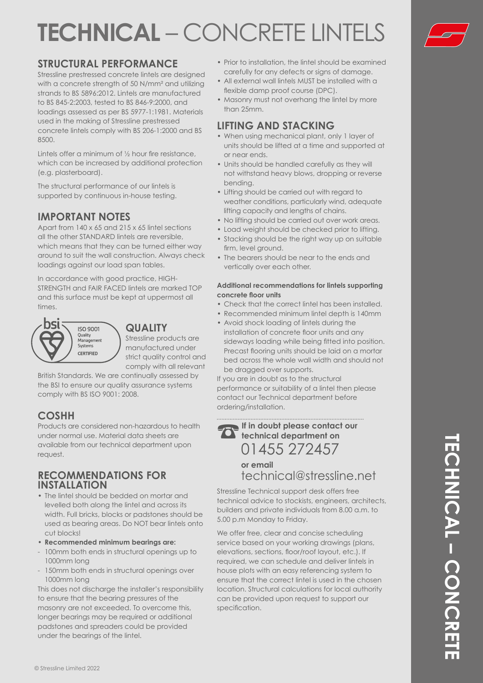# **TECHNICAL** – CONCRETE LINTELS



## **STRUCTURAL PERFORMANCE**

Stressline prestressed concrete lintels are designed with a concrete strength of 50 N/mm<sup>2</sup> and utilizing strands to BS 5896:2012. Lintels are manufactured to BS 845-2:2003, tested to BS 846-9:2000, and loadings assessed as per BS 5977-1:1981. Materials used in the making of Stressline prestressed concrete lintels comply with BS 206-1:2000 and BS 8500.

Lintels offer a minimum of ½ hour fire resistance, which can be increased by additional protection (e.g. plasterboard).

The structural performance of our lintels is supported by continuous in-house testing.

### **IMPORTANT NOTES**

Apart from 140 x 65 and 215 x 65 lintel sections all the other STANDARD lintels are reversible, which means that they can be turned either way around to suit the wall construction. Always check loadings against our load span tables.

In accordance with good practice, HIGH-STRENGTH and FAIR FACED lintels are marked TOP and this surface must be kept at uppermost all times.



### **QUALITY**

Stressline products are manufactured under strict quality control and comply with all relevant

British Standards. We are continually assessed by the BSI to ensure our quality assurance systems comply with BS ISO 9001: 2008.

## **COSHH**

Products are considered non-hazardous to health under normal use. Material data sheets are available from our technical department upon request.

### **RECOMMENDATIONS FOR INSTALLATION**

- The lintel should be bedded on mortar and levelled both along the lintel and across its width. Full bricks, blocks or padstones should be used as bearing areas. Do NOT bear lintels onto cut blocks!
- **Recommended minimum bearings are:**
- 100mm both ends in structural openings up to 1000mm long
- 150mm both ends in structural openings over 1000mm long

This does not discharge the installer's responsibility to ensure that the bearing pressures of the masonry are not exceeded. To overcome this, longer bearings may be required or additional padstones and spreaders could be provided under the bearings of the lintel.

- Prior to installation, the lintel should be examined carefully for any defects or signs of damage.
- All external wall lintels MUST be installed with a flexible damp proof course (DPC).
- Masonry must not overhang the lintel by more than 25mm.

### **LIFTING AND STACKING**

- When using mechanical plant, only 1 layer of units should be lifted at a time and supported at or near ends.
- Units should be handled carefully as they will not withstand heavy blows, dropping or reverse bending.
- Lifting should be carried out with regard to weather conditions, particularly wind, adequate lifting capacity and lengths of chains.
- No lifting should be carried out over work areas.
- Load weight should be checked prior to lifting.
- Stacking should be the right way up on suitable firm, level ground.
- The bearers should be near to the ends and vertically over each other.

#### **Additional recommendations for lintels supporting concrete floor units**

- Check that the correct lintel has been installed.
- Recommended minimum lintel depth is 140mm • Avoid shock loading of lintels during the
- installation of concrete floor units and any sideways loading while being fitted into position. Precast flooring units should be laid on a mortar bed across the whole wall width and should not be dragged over supports.

If you are in doubt as to the structural performance or suitability of a lintel then please contact our Technical department before ordering/installation.

**If in doubt please contact our technical department on**  01455 272457

> **or email** technical@stressline.net

Stressline Technical support desk offers free technical advice to stockists, engineers, architects, builders and private individuals from 8.00 a.m. to 5.00 p.m Monday to Friday.

We offer free, clear and concise scheduling service based on your working drawings (plans, elevations, sections, floor/roof layout, etc.). If required, we can schedule and deliver lintels in house plots with an easy referencing system to ensure that the correct lintel is used in the chosen location. Structural calculations for local authority can be provided upon request to support our specification.